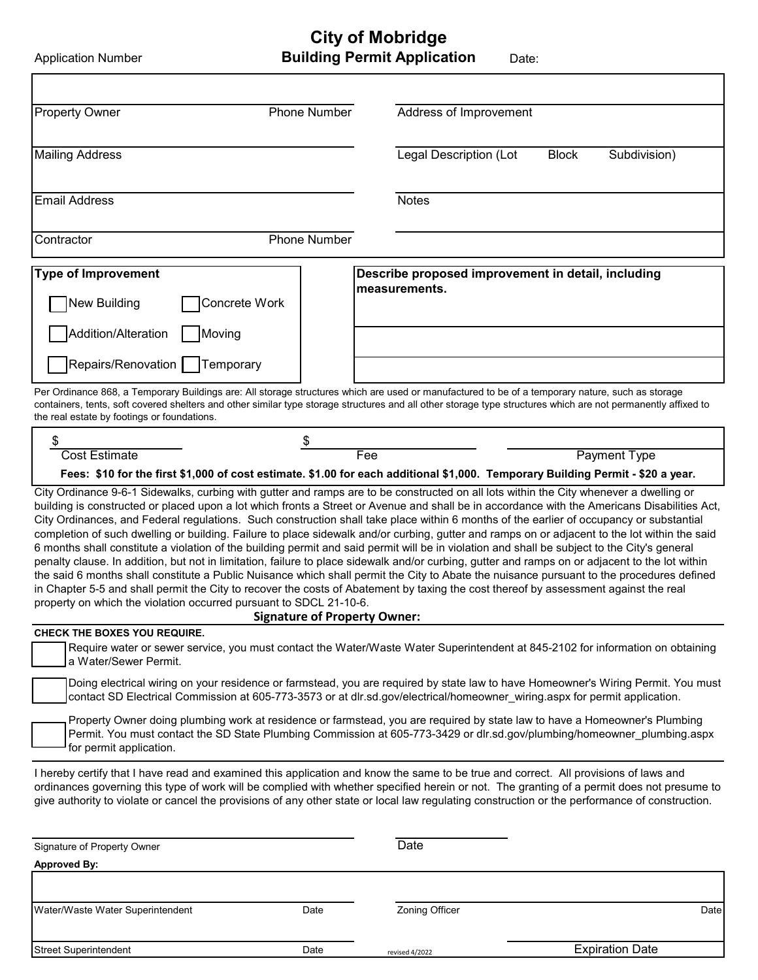**City of Mobridge** 

**Approved By:**

| <b>Application Number</b>                                            |                                     | <b>Building Permit Application</b><br>Date:                                                                                                                                                                                                                                                                                                                                                                                                                                                                                                                                                                                                                                                                                                                                                                                                                                                                                                                                                                                                                                                                                                                                |  |
|----------------------------------------------------------------------|-------------------------------------|----------------------------------------------------------------------------------------------------------------------------------------------------------------------------------------------------------------------------------------------------------------------------------------------------------------------------------------------------------------------------------------------------------------------------------------------------------------------------------------------------------------------------------------------------------------------------------------------------------------------------------------------------------------------------------------------------------------------------------------------------------------------------------------------------------------------------------------------------------------------------------------------------------------------------------------------------------------------------------------------------------------------------------------------------------------------------------------------------------------------------------------------------------------------------|--|
|                                                                      |                                     |                                                                                                                                                                                                                                                                                                                                                                                                                                                                                                                                                                                                                                                                                                                                                                                                                                                                                                                                                                                                                                                                                                                                                                            |  |
| Phone Number<br><b>Property Owner</b>                                |                                     | Address of Improvement                                                                                                                                                                                                                                                                                                                                                                                                                                                                                                                                                                                                                                                                                                                                                                                                                                                                                                                                                                                                                                                                                                                                                     |  |
| <b>Mailing Address</b>                                               |                                     | Legal Description (Lot<br><b>Block</b><br>Subdivision)                                                                                                                                                                                                                                                                                                                                                                                                                                                                                                                                                                                                                                                                                                                                                                                                                                                                                                                                                                                                                                                                                                                     |  |
| <b>Email Address</b>                                                 |                                     | <b>Notes</b>                                                                                                                                                                                                                                                                                                                                                                                                                                                                                                                                                                                                                                                                                                                                                                                                                                                                                                                                                                                                                                                                                                                                                               |  |
| Contractor                                                           | Phone Number                        |                                                                                                                                                                                                                                                                                                                                                                                                                                                                                                                                                                                                                                                                                                                                                                                                                                                                                                                                                                                                                                                                                                                                                                            |  |
| <b>Type of Improvement</b><br>New Building<br>Concrete Work          |                                     | Describe proposed improvement in detail, including<br>measurements.                                                                                                                                                                                                                                                                                                                                                                                                                                                                                                                                                                                                                                                                                                                                                                                                                                                                                                                                                                                                                                                                                                        |  |
| Addition/Alteration<br>Moving<br>Repairs/Renovation    <br>Temporary |                                     |                                                                                                                                                                                                                                                                                                                                                                                                                                                                                                                                                                                                                                                                                                                                                                                                                                                                                                                                                                                                                                                                                                                                                                            |  |
| the real estate by footings or foundations.                          |                                     | Per Ordinance 868, a Temporary Buildings are: All storage structures which are used or manufactured to be of a temporary nature, such as storage<br>containers, tents, soft covered shelters and other similar type storage structures and all other storage type structures which are not permanently affixed to                                                                                                                                                                                                                                                                                                                                                                                                                                                                                                                                                                                                                                                                                                                                                                                                                                                          |  |
| \$                                                                   | \$                                  |                                                                                                                                                                                                                                                                                                                                                                                                                                                                                                                                                                                                                                                                                                                                                                                                                                                                                                                                                                                                                                                                                                                                                                            |  |
| <b>Cost Estimate</b>                                                 |                                     | <b>Payment Type</b><br>Fee                                                                                                                                                                                                                                                                                                                                                                                                                                                                                                                                                                                                                                                                                                                                                                                                                                                                                                                                                                                                                                                                                                                                                 |  |
|                                                                      |                                     | Fees: \$10 for the first \$1,000 of cost estimate. \$1.00 for each additional \$1,000. Temporary Building Permit - \$20 a year.                                                                                                                                                                                                                                                                                                                                                                                                                                                                                                                                                                                                                                                                                                                                                                                                                                                                                                                                                                                                                                            |  |
| property on which the violation occurred pursuant to SDCL 21-10-6.   | <b>Signature of Property Owner:</b> | City Ordinance 9-6-1 Sidewalks, curbing with gutter and ramps are to be constructed on all lots within the City whenever a dwelling or<br>building is constructed or placed upon a lot which fronts a Street or Avenue and shall be in accordance with the Americans Disabilities Act,<br>City Ordinances, and Federal regulations. Such construction shall take place within 6 months of the earlier of occupancy or substantial<br>completion of such dwelling or building. Failure to place sidewalk and/or curbing, gutter and ramps on or adjacent to the lot within the said<br>6 months shall constitute a violation of the building permit and said permit will be in violation and shall be subject to the City's general<br>penalty clause. In addition, but not in limitation, failure to place sidewalk and/or curbing, gutter and ramps on or adjacent to the lot within<br>the said 6 months shall constitute a Public Nuisance which shall permit the City to Abate the nuisance pursuant to the procedures defined<br>in Chapter 5-5 and shall permit the City to recover the costs of Abatement by taxing the cost thereof by assessment against the real |  |
| CHECK THE BOXES YOU REQUIRE.                                         |                                     |                                                                                                                                                                                                                                                                                                                                                                                                                                                                                                                                                                                                                                                                                                                                                                                                                                                                                                                                                                                                                                                                                                                                                                            |  |
| a Water/Sewer Permit.                                                |                                     | Require water or sewer service, you must contact the Water/Waste Water Superintendent at 845-2102 for information on obtaining                                                                                                                                                                                                                                                                                                                                                                                                                                                                                                                                                                                                                                                                                                                                                                                                                                                                                                                                                                                                                                             |  |
|                                                                      |                                     | Doing electrical wiring on your residence or farmstead, you are required by state law to have Homeowner's Wiring Permit. You must<br>contact SD Electrical Commission at 605-773-3573 or at dlr.sd.gov/electrical/homeowner_wiring.aspx for permit application.                                                                                                                                                                                                                                                                                                                                                                                                                                                                                                                                                                                                                                                                                                                                                                                                                                                                                                            |  |
| for permit application.                                              |                                     | Property Owner doing plumbing work at residence or farmstead, you are required by state law to have a Homeowner's Plumbing<br>Permit. You must contact the SD State Plumbing Commission at 605-773-3429 or dlr.sd.gov/plumbing/homeowner_plumbing.aspx                                                                                                                                                                                                                                                                                                                                                                                                                                                                                                                                                                                                                                                                                                                                                                                                                                                                                                                     |  |
|                                                                      |                                     | I hereby certify that I have read and examined this application and know the same to be true and correct. All provisions of laws and<br>ordinances governing this type of work will be complied with whether specified herein or not. The granting of a permit does not presume to<br>give authority to violate or cancel the provisions of any other state or local law regulating construction or the performance of construction.                                                                                                                                                                                                                                                                                                                                                                                                                                                                                                                                                                                                                                                                                                                                       |  |
| Signature of Property Owner                                          |                                     | Date                                                                                                                                                                                                                                                                                                                                                                                                                                                                                                                                                                                                                                                                                                                                                                                                                                                                                                                                                                                                                                                                                                                                                                       |  |

| Water/Waste Water Superintendent | Date | <b>Zoning Officer</b> | Date                   |
|----------------------------------|------|-----------------------|------------------------|
|                                  |      |                       |                        |
| <b>Street Superintendent</b>     | Date | revised 4/2022        | <b>Expiration Date</b> |